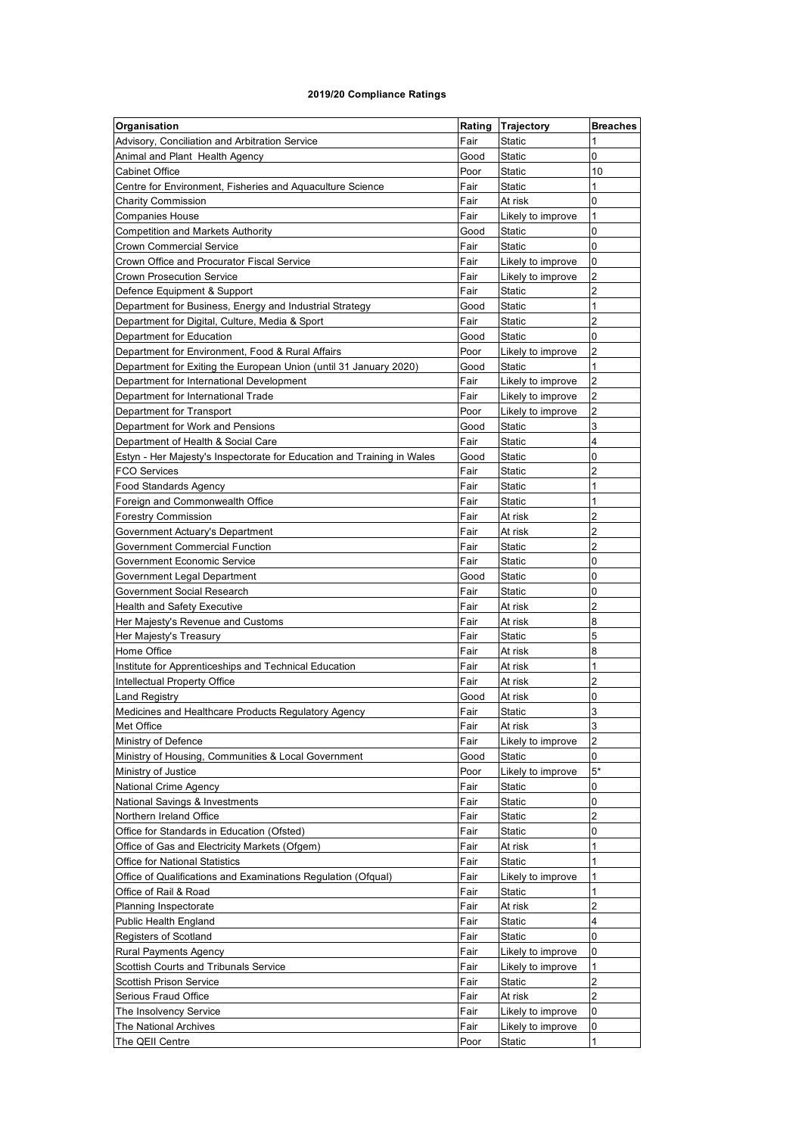## **2019/20 Compliance Ratings**

| Advisory, Conciliation and Arbitration Service<br>Fair<br><b>Static</b><br>Animal and Plant Health Agency<br>Good<br><b>Static</b><br>0<br>Poor<br><b>Static</b><br>10<br><b>Cabinet Office</b><br>1<br>Fair<br><b>Static</b><br>Centre for Environment, Fisheries and Aquaculture Science<br>Fair<br>At risk<br>0<br><b>Charity Commission</b><br>1<br>Fair<br><b>Companies House</b><br>Likely to improve<br>0<br><b>Competition and Markets Authority</b><br>Good<br><b>Static</b><br>Fair<br>0<br>Crown Commercial Service<br>Static<br>Fair<br>0<br>Crown Office and Procurator Fiscal Service<br>Likely to improve<br>$\overline{\mathbf{c}}$<br>Fair<br><b>Crown Prosecution Service</b><br>Likely to improve<br>$\overline{2}$<br>Fair<br>Defence Equipment & Support<br><b>Static</b><br>Good<br><b>Static</b><br>1<br>Department for Business, Energy and Industrial Strategy<br>$\overline{2}$<br>Fair<br><b>Static</b><br>Department for Digital, Culture, Media & Sport<br>0<br>Department for Education<br>Good<br>Static<br>Poor<br>2<br>Department for Environment, Food & Rural Affairs<br>Likely to improve<br>1<br>Department for Exiting the European Union (until 31 January 2020)<br>Good<br><b>Static</b><br>$\overline{2}$<br>Fair<br>Department for International Development<br>Likely to improve<br>$\overline{2}$<br>Department for International Trade<br>Fair<br>Likely to improve<br>2<br>Poor<br>Department for Transport<br>Likely to improve<br>3<br><b>Static</b><br>Department for Work and Pensions<br>Good<br>4<br>Fair<br>Department of Health & Social Care<br>Static<br>0<br>Estyn - Her Majesty's Inspectorate for Education and Training in Wales<br>Good<br><b>Static</b><br>$\overline{2}$<br>Fair<br><b>Static</b><br><b>FCO Services</b><br>1<br>Fair<br><b>Static</b><br><b>Food Standards Agency</b><br>1<br>Fair<br><b>Static</b><br>Foreign and Commonwealth Office<br>Fair<br>2<br><b>Forestry Commission</b><br>At risk<br>$\overline{c}$<br>Fair<br>Government Actuary's Department<br>At risk<br>2<br>Fair<br>Government Commercial Function<br>Static<br>Fair<br>0<br><b>Static</b><br>Government Economic Service<br>0<br><b>Static</b><br>Government Legal Department<br>Good<br>Fair<br><b>Static</b><br>0<br>Government Social Research<br>Fair<br>2<br>Health and Safety Executive<br>At risk<br>Fair<br>8<br>Her Majesty's Revenue and Customs<br>At risk<br>5<br>Fair<br><b>Static</b><br>Her Majesty's Treasury<br>8<br>Home Office<br>Fair<br>At risk<br>1<br>Fair<br>Institute for Apprenticeships and Technical Education<br>At risk<br>$\overline{2}$<br>Intellectual Property Office<br>Fair<br>At risk<br>0<br><b>Land Registry</b><br>At risk<br>Good<br>3<br>Fair<br><b>Static</b><br>Medicines and Healthcare Products Regulatory Agency<br>Met Office<br>Fair<br>At risk<br>3<br>$\overline{2}$<br>Fair<br>Ministry of Defence<br>Likely to improve<br>0<br>Ministry of Housing, Communities & Local Government<br>Good<br>Static<br>$5*$<br>Ministry of Justice<br>Poor<br>Likely to improve<br>0<br>National Crime Agency<br>Fair<br><b>Static</b><br>0<br>National Savings & Investments<br>Fair<br><b>Static</b><br>2<br>Northern Ireland Office<br>Fair<br>Static<br>Office for Standards in Education (Ofsted)<br>Fair<br>0<br>Static<br>1<br>Office of Gas and Electricity Markets (Ofgem)<br>Fair<br>At risk<br>1<br>Fair<br><b>Office for National Statistics</b><br>Static<br>Office of Qualifications and Examinations Regulation (Ofqual)<br>Fair<br>1<br>Likely to improve<br>Fair<br>1<br>Static<br>Office of Rail & Road<br>Fair<br>2<br>Planning Inspectorate<br>At risk<br><b>Public Health England</b><br>Fair<br>Static<br>4<br>Fair<br>0<br>Registers of Scotland<br>Static<br>0<br><b>Rural Payments Agency</b><br>Fair<br>Likely to improve<br>1<br>Scottish Courts and Tribunals Service<br>Fair<br>Likely to improve<br>2<br>Fair<br><b>Scottish Prison Service</b><br>Static<br>$\overline{2}$<br>Fair<br>Serious Fraud Office<br>At risk | Organisation | Rating | Trajectory | <b>Breaches</b> |
|----------------------------------------------------------------------------------------------------------------------------------------------------------------------------------------------------------------------------------------------------------------------------------------------------------------------------------------------------------------------------------------------------------------------------------------------------------------------------------------------------------------------------------------------------------------------------------------------------------------------------------------------------------------------------------------------------------------------------------------------------------------------------------------------------------------------------------------------------------------------------------------------------------------------------------------------------------------------------------------------------------------------------------------------------------------------------------------------------------------------------------------------------------------------------------------------------------------------------------------------------------------------------------------------------------------------------------------------------------------------------------------------------------------------------------------------------------------------------------------------------------------------------------------------------------------------------------------------------------------------------------------------------------------------------------------------------------------------------------------------------------------------------------------------------------------------------------------------------------------------------------------------------------------------------------------------------------------------------------------------------------------------------------------------------------------------------------------------------------------------------------------------------------------------------------------------------------------------------------------------------------------------------------------------------------------------------------------------------------------------------------------------------------------------------------------------------------------------------------------------------------------------------------------------------------------------------------------------------------------------------------------------------------------------------------------------------------------------------------------------------------------------------------------------------------------------------------------------------------------------------------------------------------------------------------------------------------------------------------------------------------------------------------------------------------------------------------------------------------------------------------------------------------------------------------------------------------------------------------------------------------------------------------------------------------------------------------------------------------------------------------------------------------------------------------------------------------------------------------------------------------------------------------------------------------------------------------------------------------------------------------------------------------------------------------------------------------------------------------------------------------------------------------------------------------------------------------------------------------------------------------------------------------------------------------------------------------------------------------------------------------------------------------------------|--------------|--------|------------|-----------------|
|                                                                                                                                                                                                                                                                                                                                                                                                                                                                                                                                                                                                                                                                                                                                                                                                                                                                                                                                                                                                                                                                                                                                                                                                                                                                                                                                                                                                                                                                                                                                                                                                                                                                                                                                                                                                                                                                                                                                                                                                                                                                                                                                                                                                                                                                                                                                                                                                                                                                                                                                                                                                                                                                                                                                                                                                                                                                                                                                                                                                                                                                                                                                                                                                                                                                                                                                                                                                                                                                                                                                                                                                                                                                                                                                                                                                                                                                                                                                                                                                                                              |              |        |            |                 |
|                                                                                                                                                                                                                                                                                                                                                                                                                                                                                                                                                                                                                                                                                                                                                                                                                                                                                                                                                                                                                                                                                                                                                                                                                                                                                                                                                                                                                                                                                                                                                                                                                                                                                                                                                                                                                                                                                                                                                                                                                                                                                                                                                                                                                                                                                                                                                                                                                                                                                                                                                                                                                                                                                                                                                                                                                                                                                                                                                                                                                                                                                                                                                                                                                                                                                                                                                                                                                                                                                                                                                                                                                                                                                                                                                                                                                                                                                                                                                                                                                                              |              |        |            |                 |
|                                                                                                                                                                                                                                                                                                                                                                                                                                                                                                                                                                                                                                                                                                                                                                                                                                                                                                                                                                                                                                                                                                                                                                                                                                                                                                                                                                                                                                                                                                                                                                                                                                                                                                                                                                                                                                                                                                                                                                                                                                                                                                                                                                                                                                                                                                                                                                                                                                                                                                                                                                                                                                                                                                                                                                                                                                                                                                                                                                                                                                                                                                                                                                                                                                                                                                                                                                                                                                                                                                                                                                                                                                                                                                                                                                                                                                                                                                                                                                                                                                              |              |        |            |                 |
|                                                                                                                                                                                                                                                                                                                                                                                                                                                                                                                                                                                                                                                                                                                                                                                                                                                                                                                                                                                                                                                                                                                                                                                                                                                                                                                                                                                                                                                                                                                                                                                                                                                                                                                                                                                                                                                                                                                                                                                                                                                                                                                                                                                                                                                                                                                                                                                                                                                                                                                                                                                                                                                                                                                                                                                                                                                                                                                                                                                                                                                                                                                                                                                                                                                                                                                                                                                                                                                                                                                                                                                                                                                                                                                                                                                                                                                                                                                                                                                                                                              |              |        |            |                 |
|                                                                                                                                                                                                                                                                                                                                                                                                                                                                                                                                                                                                                                                                                                                                                                                                                                                                                                                                                                                                                                                                                                                                                                                                                                                                                                                                                                                                                                                                                                                                                                                                                                                                                                                                                                                                                                                                                                                                                                                                                                                                                                                                                                                                                                                                                                                                                                                                                                                                                                                                                                                                                                                                                                                                                                                                                                                                                                                                                                                                                                                                                                                                                                                                                                                                                                                                                                                                                                                                                                                                                                                                                                                                                                                                                                                                                                                                                                                                                                                                                                              |              |        |            |                 |
|                                                                                                                                                                                                                                                                                                                                                                                                                                                                                                                                                                                                                                                                                                                                                                                                                                                                                                                                                                                                                                                                                                                                                                                                                                                                                                                                                                                                                                                                                                                                                                                                                                                                                                                                                                                                                                                                                                                                                                                                                                                                                                                                                                                                                                                                                                                                                                                                                                                                                                                                                                                                                                                                                                                                                                                                                                                                                                                                                                                                                                                                                                                                                                                                                                                                                                                                                                                                                                                                                                                                                                                                                                                                                                                                                                                                                                                                                                                                                                                                                                              |              |        |            |                 |
|                                                                                                                                                                                                                                                                                                                                                                                                                                                                                                                                                                                                                                                                                                                                                                                                                                                                                                                                                                                                                                                                                                                                                                                                                                                                                                                                                                                                                                                                                                                                                                                                                                                                                                                                                                                                                                                                                                                                                                                                                                                                                                                                                                                                                                                                                                                                                                                                                                                                                                                                                                                                                                                                                                                                                                                                                                                                                                                                                                                                                                                                                                                                                                                                                                                                                                                                                                                                                                                                                                                                                                                                                                                                                                                                                                                                                                                                                                                                                                                                                                              |              |        |            |                 |
|                                                                                                                                                                                                                                                                                                                                                                                                                                                                                                                                                                                                                                                                                                                                                                                                                                                                                                                                                                                                                                                                                                                                                                                                                                                                                                                                                                                                                                                                                                                                                                                                                                                                                                                                                                                                                                                                                                                                                                                                                                                                                                                                                                                                                                                                                                                                                                                                                                                                                                                                                                                                                                                                                                                                                                                                                                                                                                                                                                                                                                                                                                                                                                                                                                                                                                                                                                                                                                                                                                                                                                                                                                                                                                                                                                                                                                                                                                                                                                                                                                              |              |        |            |                 |
|                                                                                                                                                                                                                                                                                                                                                                                                                                                                                                                                                                                                                                                                                                                                                                                                                                                                                                                                                                                                                                                                                                                                                                                                                                                                                                                                                                                                                                                                                                                                                                                                                                                                                                                                                                                                                                                                                                                                                                                                                                                                                                                                                                                                                                                                                                                                                                                                                                                                                                                                                                                                                                                                                                                                                                                                                                                                                                                                                                                                                                                                                                                                                                                                                                                                                                                                                                                                                                                                                                                                                                                                                                                                                                                                                                                                                                                                                                                                                                                                                                              |              |        |            |                 |
|                                                                                                                                                                                                                                                                                                                                                                                                                                                                                                                                                                                                                                                                                                                                                                                                                                                                                                                                                                                                                                                                                                                                                                                                                                                                                                                                                                                                                                                                                                                                                                                                                                                                                                                                                                                                                                                                                                                                                                                                                                                                                                                                                                                                                                                                                                                                                                                                                                                                                                                                                                                                                                                                                                                                                                                                                                                                                                                                                                                                                                                                                                                                                                                                                                                                                                                                                                                                                                                                                                                                                                                                                                                                                                                                                                                                                                                                                                                                                                                                                                              |              |        |            |                 |
|                                                                                                                                                                                                                                                                                                                                                                                                                                                                                                                                                                                                                                                                                                                                                                                                                                                                                                                                                                                                                                                                                                                                                                                                                                                                                                                                                                                                                                                                                                                                                                                                                                                                                                                                                                                                                                                                                                                                                                                                                                                                                                                                                                                                                                                                                                                                                                                                                                                                                                                                                                                                                                                                                                                                                                                                                                                                                                                                                                                                                                                                                                                                                                                                                                                                                                                                                                                                                                                                                                                                                                                                                                                                                                                                                                                                                                                                                                                                                                                                                                              |              |        |            |                 |
|                                                                                                                                                                                                                                                                                                                                                                                                                                                                                                                                                                                                                                                                                                                                                                                                                                                                                                                                                                                                                                                                                                                                                                                                                                                                                                                                                                                                                                                                                                                                                                                                                                                                                                                                                                                                                                                                                                                                                                                                                                                                                                                                                                                                                                                                                                                                                                                                                                                                                                                                                                                                                                                                                                                                                                                                                                                                                                                                                                                                                                                                                                                                                                                                                                                                                                                                                                                                                                                                                                                                                                                                                                                                                                                                                                                                                                                                                                                                                                                                                                              |              |        |            |                 |
|                                                                                                                                                                                                                                                                                                                                                                                                                                                                                                                                                                                                                                                                                                                                                                                                                                                                                                                                                                                                                                                                                                                                                                                                                                                                                                                                                                                                                                                                                                                                                                                                                                                                                                                                                                                                                                                                                                                                                                                                                                                                                                                                                                                                                                                                                                                                                                                                                                                                                                                                                                                                                                                                                                                                                                                                                                                                                                                                                                                                                                                                                                                                                                                                                                                                                                                                                                                                                                                                                                                                                                                                                                                                                                                                                                                                                                                                                                                                                                                                                                              |              |        |            |                 |
|                                                                                                                                                                                                                                                                                                                                                                                                                                                                                                                                                                                                                                                                                                                                                                                                                                                                                                                                                                                                                                                                                                                                                                                                                                                                                                                                                                                                                                                                                                                                                                                                                                                                                                                                                                                                                                                                                                                                                                                                                                                                                                                                                                                                                                                                                                                                                                                                                                                                                                                                                                                                                                                                                                                                                                                                                                                                                                                                                                                                                                                                                                                                                                                                                                                                                                                                                                                                                                                                                                                                                                                                                                                                                                                                                                                                                                                                                                                                                                                                                                              |              |        |            |                 |
|                                                                                                                                                                                                                                                                                                                                                                                                                                                                                                                                                                                                                                                                                                                                                                                                                                                                                                                                                                                                                                                                                                                                                                                                                                                                                                                                                                                                                                                                                                                                                                                                                                                                                                                                                                                                                                                                                                                                                                                                                                                                                                                                                                                                                                                                                                                                                                                                                                                                                                                                                                                                                                                                                                                                                                                                                                                                                                                                                                                                                                                                                                                                                                                                                                                                                                                                                                                                                                                                                                                                                                                                                                                                                                                                                                                                                                                                                                                                                                                                                                              |              |        |            |                 |
|                                                                                                                                                                                                                                                                                                                                                                                                                                                                                                                                                                                                                                                                                                                                                                                                                                                                                                                                                                                                                                                                                                                                                                                                                                                                                                                                                                                                                                                                                                                                                                                                                                                                                                                                                                                                                                                                                                                                                                                                                                                                                                                                                                                                                                                                                                                                                                                                                                                                                                                                                                                                                                                                                                                                                                                                                                                                                                                                                                                                                                                                                                                                                                                                                                                                                                                                                                                                                                                                                                                                                                                                                                                                                                                                                                                                                                                                                                                                                                                                                                              |              |        |            |                 |
|                                                                                                                                                                                                                                                                                                                                                                                                                                                                                                                                                                                                                                                                                                                                                                                                                                                                                                                                                                                                                                                                                                                                                                                                                                                                                                                                                                                                                                                                                                                                                                                                                                                                                                                                                                                                                                                                                                                                                                                                                                                                                                                                                                                                                                                                                                                                                                                                                                                                                                                                                                                                                                                                                                                                                                                                                                                                                                                                                                                                                                                                                                                                                                                                                                                                                                                                                                                                                                                                                                                                                                                                                                                                                                                                                                                                                                                                                                                                                                                                                                              |              |        |            |                 |
|                                                                                                                                                                                                                                                                                                                                                                                                                                                                                                                                                                                                                                                                                                                                                                                                                                                                                                                                                                                                                                                                                                                                                                                                                                                                                                                                                                                                                                                                                                                                                                                                                                                                                                                                                                                                                                                                                                                                                                                                                                                                                                                                                                                                                                                                                                                                                                                                                                                                                                                                                                                                                                                                                                                                                                                                                                                                                                                                                                                                                                                                                                                                                                                                                                                                                                                                                                                                                                                                                                                                                                                                                                                                                                                                                                                                                                                                                                                                                                                                                                              |              |        |            |                 |
|                                                                                                                                                                                                                                                                                                                                                                                                                                                                                                                                                                                                                                                                                                                                                                                                                                                                                                                                                                                                                                                                                                                                                                                                                                                                                                                                                                                                                                                                                                                                                                                                                                                                                                                                                                                                                                                                                                                                                                                                                                                                                                                                                                                                                                                                                                                                                                                                                                                                                                                                                                                                                                                                                                                                                                                                                                                                                                                                                                                                                                                                                                                                                                                                                                                                                                                                                                                                                                                                                                                                                                                                                                                                                                                                                                                                                                                                                                                                                                                                                                              |              |        |            |                 |
|                                                                                                                                                                                                                                                                                                                                                                                                                                                                                                                                                                                                                                                                                                                                                                                                                                                                                                                                                                                                                                                                                                                                                                                                                                                                                                                                                                                                                                                                                                                                                                                                                                                                                                                                                                                                                                                                                                                                                                                                                                                                                                                                                                                                                                                                                                                                                                                                                                                                                                                                                                                                                                                                                                                                                                                                                                                                                                                                                                                                                                                                                                                                                                                                                                                                                                                                                                                                                                                                                                                                                                                                                                                                                                                                                                                                                                                                                                                                                                                                                                              |              |        |            |                 |
|                                                                                                                                                                                                                                                                                                                                                                                                                                                                                                                                                                                                                                                                                                                                                                                                                                                                                                                                                                                                                                                                                                                                                                                                                                                                                                                                                                                                                                                                                                                                                                                                                                                                                                                                                                                                                                                                                                                                                                                                                                                                                                                                                                                                                                                                                                                                                                                                                                                                                                                                                                                                                                                                                                                                                                                                                                                                                                                                                                                                                                                                                                                                                                                                                                                                                                                                                                                                                                                                                                                                                                                                                                                                                                                                                                                                                                                                                                                                                                                                                                              |              |        |            |                 |
|                                                                                                                                                                                                                                                                                                                                                                                                                                                                                                                                                                                                                                                                                                                                                                                                                                                                                                                                                                                                                                                                                                                                                                                                                                                                                                                                                                                                                                                                                                                                                                                                                                                                                                                                                                                                                                                                                                                                                                                                                                                                                                                                                                                                                                                                                                                                                                                                                                                                                                                                                                                                                                                                                                                                                                                                                                                                                                                                                                                                                                                                                                                                                                                                                                                                                                                                                                                                                                                                                                                                                                                                                                                                                                                                                                                                                                                                                                                                                                                                                                              |              |        |            |                 |
|                                                                                                                                                                                                                                                                                                                                                                                                                                                                                                                                                                                                                                                                                                                                                                                                                                                                                                                                                                                                                                                                                                                                                                                                                                                                                                                                                                                                                                                                                                                                                                                                                                                                                                                                                                                                                                                                                                                                                                                                                                                                                                                                                                                                                                                                                                                                                                                                                                                                                                                                                                                                                                                                                                                                                                                                                                                                                                                                                                                                                                                                                                                                                                                                                                                                                                                                                                                                                                                                                                                                                                                                                                                                                                                                                                                                                                                                                                                                                                                                                                              |              |        |            |                 |
|                                                                                                                                                                                                                                                                                                                                                                                                                                                                                                                                                                                                                                                                                                                                                                                                                                                                                                                                                                                                                                                                                                                                                                                                                                                                                                                                                                                                                                                                                                                                                                                                                                                                                                                                                                                                                                                                                                                                                                                                                                                                                                                                                                                                                                                                                                                                                                                                                                                                                                                                                                                                                                                                                                                                                                                                                                                                                                                                                                                                                                                                                                                                                                                                                                                                                                                                                                                                                                                                                                                                                                                                                                                                                                                                                                                                                                                                                                                                                                                                                                              |              |        |            |                 |
|                                                                                                                                                                                                                                                                                                                                                                                                                                                                                                                                                                                                                                                                                                                                                                                                                                                                                                                                                                                                                                                                                                                                                                                                                                                                                                                                                                                                                                                                                                                                                                                                                                                                                                                                                                                                                                                                                                                                                                                                                                                                                                                                                                                                                                                                                                                                                                                                                                                                                                                                                                                                                                                                                                                                                                                                                                                                                                                                                                                                                                                                                                                                                                                                                                                                                                                                                                                                                                                                                                                                                                                                                                                                                                                                                                                                                                                                                                                                                                                                                                              |              |        |            |                 |
|                                                                                                                                                                                                                                                                                                                                                                                                                                                                                                                                                                                                                                                                                                                                                                                                                                                                                                                                                                                                                                                                                                                                                                                                                                                                                                                                                                                                                                                                                                                                                                                                                                                                                                                                                                                                                                                                                                                                                                                                                                                                                                                                                                                                                                                                                                                                                                                                                                                                                                                                                                                                                                                                                                                                                                                                                                                                                                                                                                                                                                                                                                                                                                                                                                                                                                                                                                                                                                                                                                                                                                                                                                                                                                                                                                                                                                                                                                                                                                                                                                              |              |        |            |                 |
|                                                                                                                                                                                                                                                                                                                                                                                                                                                                                                                                                                                                                                                                                                                                                                                                                                                                                                                                                                                                                                                                                                                                                                                                                                                                                                                                                                                                                                                                                                                                                                                                                                                                                                                                                                                                                                                                                                                                                                                                                                                                                                                                                                                                                                                                                                                                                                                                                                                                                                                                                                                                                                                                                                                                                                                                                                                                                                                                                                                                                                                                                                                                                                                                                                                                                                                                                                                                                                                                                                                                                                                                                                                                                                                                                                                                                                                                                                                                                                                                                                              |              |        |            |                 |
|                                                                                                                                                                                                                                                                                                                                                                                                                                                                                                                                                                                                                                                                                                                                                                                                                                                                                                                                                                                                                                                                                                                                                                                                                                                                                                                                                                                                                                                                                                                                                                                                                                                                                                                                                                                                                                                                                                                                                                                                                                                                                                                                                                                                                                                                                                                                                                                                                                                                                                                                                                                                                                                                                                                                                                                                                                                                                                                                                                                                                                                                                                                                                                                                                                                                                                                                                                                                                                                                                                                                                                                                                                                                                                                                                                                                                                                                                                                                                                                                                                              |              |        |            |                 |
|                                                                                                                                                                                                                                                                                                                                                                                                                                                                                                                                                                                                                                                                                                                                                                                                                                                                                                                                                                                                                                                                                                                                                                                                                                                                                                                                                                                                                                                                                                                                                                                                                                                                                                                                                                                                                                                                                                                                                                                                                                                                                                                                                                                                                                                                                                                                                                                                                                                                                                                                                                                                                                                                                                                                                                                                                                                                                                                                                                                                                                                                                                                                                                                                                                                                                                                                                                                                                                                                                                                                                                                                                                                                                                                                                                                                                                                                                                                                                                                                                                              |              |        |            |                 |
|                                                                                                                                                                                                                                                                                                                                                                                                                                                                                                                                                                                                                                                                                                                                                                                                                                                                                                                                                                                                                                                                                                                                                                                                                                                                                                                                                                                                                                                                                                                                                                                                                                                                                                                                                                                                                                                                                                                                                                                                                                                                                                                                                                                                                                                                                                                                                                                                                                                                                                                                                                                                                                                                                                                                                                                                                                                                                                                                                                                                                                                                                                                                                                                                                                                                                                                                                                                                                                                                                                                                                                                                                                                                                                                                                                                                                                                                                                                                                                                                                                              |              |        |            |                 |
|                                                                                                                                                                                                                                                                                                                                                                                                                                                                                                                                                                                                                                                                                                                                                                                                                                                                                                                                                                                                                                                                                                                                                                                                                                                                                                                                                                                                                                                                                                                                                                                                                                                                                                                                                                                                                                                                                                                                                                                                                                                                                                                                                                                                                                                                                                                                                                                                                                                                                                                                                                                                                                                                                                                                                                                                                                                                                                                                                                                                                                                                                                                                                                                                                                                                                                                                                                                                                                                                                                                                                                                                                                                                                                                                                                                                                                                                                                                                                                                                                                              |              |        |            |                 |
|                                                                                                                                                                                                                                                                                                                                                                                                                                                                                                                                                                                                                                                                                                                                                                                                                                                                                                                                                                                                                                                                                                                                                                                                                                                                                                                                                                                                                                                                                                                                                                                                                                                                                                                                                                                                                                                                                                                                                                                                                                                                                                                                                                                                                                                                                                                                                                                                                                                                                                                                                                                                                                                                                                                                                                                                                                                                                                                                                                                                                                                                                                                                                                                                                                                                                                                                                                                                                                                                                                                                                                                                                                                                                                                                                                                                                                                                                                                                                                                                                                              |              |        |            |                 |
|                                                                                                                                                                                                                                                                                                                                                                                                                                                                                                                                                                                                                                                                                                                                                                                                                                                                                                                                                                                                                                                                                                                                                                                                                                                                                                                                                                                                                                                                                                                                                                                                                                                                                                                                                                                                                                                                                                                                                                                                                                                                                                                                                                                                                                                                                                                                                                                                                                                                                                                                                                                                                                                                                                                                                                                                                                                                                                                                                                                                                                                                                                                                                                                                                                                                                                                                                                                                                                                                                                                                                                                                                                                                                                                                                                                                                                                                                                                                                                                                                                              |              |        |            |                 |
|                                                                                                                                                                                                                                                                                                                                                                                                                                                                                                                                                                                                                                                                                                                                                                                                                                                                                                                                                                                                                                                                                                                                                                                                                                                                                                                                                                                                                                                                                                                                                                                                                                                                                                                                                                                                                                                                                                                                                                                                                                                                                                                                                                                                                                                                                                                                                                                                                                                                                                                                                                                                                                                                                                                                                                                                                                                                                                                                                                                                                                                                                                                                                                                                                                                                                                                                                                                                                                                                                                                                                                                                                                                                                                                                                                                                                                                                                                                                                                                                                                              |              |        |            |                 |
|                                                                                                                                                                                                                                                                                                                                                                                                                                                                                                                                                                                                                                                                                                                                                                                                                                                                                                                                                                                                                                                                                                                                                                                                                                                                                                                                                                                                                                                                                                                                                                                                                                                                                                                                                                                                                                                                                                                                                                                                                                                                                                                                                                                                                                                                                                                                                                                                                                                                                                                                                                                                                                                                                                                                                                                                                                                                                                                                                                                                                                                                                                                                                                                                                                                                                                                                                                                                                                                                                                                                                                                                                                                                                                                                                                                                                                                                                                                                                                                                                                              |              |        |            |                 |
|                                                                                                                                                                                                                                                                                                                                                                                                                                                                                                                                                                                                                                                                                                                                                                                                                                                                                                                                                                                                                                                                                                                                                                                                                                                                                                                                                                                                                                                                                                                                                                                                                                                                                                                                                                                                                                                                                                                                                                                                                                                                                                                                                                                                                                                                                                                                                                                                                                                                                                                                                                                                                                                                                                                                                                                                                                                                                                                                                                                                                                                                                                                                                                                                                                                                                                                                                                                                                                                                                                                                                                                                                                                                                                                                                                                                                                                                                                                                                                                                                                              |              |        |            |                 |
|                                                                                                                                                                                                                                                                                                                                                                                                                                                                                                                                                                                                                                                                                                                                                                                                                                                                                                                                                                                                                                                                                                                                                                                                                                                                                                                                                                                                                                                                                                                                                                                                                                                                                                                                                                                                                                                                                                                                                                                                                                                                                                                                                                                                                                                                                                                                                                                                                                                                                                                                                                                                                                                                                                                                                                                                                                                                                                                                                                                                                                                                                                                                                                                                                                                                                                                                                                                                                                                                                                                                                                                                                                                                                                                                                                                                                                                                                                                                                                                                                                              |              |        |            |                 |
|                                                                                                                                                                                                                                                                                                                                                                                                                                                                                                                                                                                                                                                                                                                                                                                                                                                                                                                                                                                                                                                                                                                                                                                                                                                                                                                                                                                                                                                                                                                                                                                                                                                                                                                                                                                                                                                                                                                                                                                                                                                                                                                                                                                                                                                                                                                                                                                                                                                                                                                                                                                                                                                                                                                                                                                                                                                                                                                                                                                                                                                                                                                                                                                                                                                                                                                                                                                                                                                                                                                                                                                                                                                                                                                                                                                                                                                                                                                                                                                                                                              |              |        |            |                 |
|                                                                                                                                                                                                                                                                                                                                                                                                                                                                                                                                                                                                                                                                                                                                                                                                                                                                                                                                                                                                                                                                                                                                                                                                                                                                                                                                                                                                                                                                                                                                                                                                                                                                                                                                                                                                                                                                                                                                                                                                                                                                                                                                                                                                                                                                                                                                                                                                                                                                                                                                                                                                                                                                                                                                                                                                                                                                                                                                                                                                                                                                                                                                                                                                                                                                                                                                                                                                                                                                                                                                                                                                                                                                                                                                                                                                                                                                                                                                                                                                                                              |              |        |            |                 |
|                                                                                                                                                                                                                                                                                                                                                                                                                                                                                                                                                                                                                                                                                                                                                                                                                                                                                                                                                                                                                                                                                                                                                                                                                                                                                                                                                                                                                                                                                                                                                                                                                                                                                                                                                                                                                                                                                                                                                                                                                                                                                                                                                                                                                                                                                                                                                                                                                                                                                                                                                                                                                                                                                                                                                                                                                                                                                                                                                                                                                                                                                                                                                                                                                                                                                                                                                                                                                                                                                                                                                                                                                                                                                                                                                                                                                                                                                                                                                                                                                                              |              |        |            |                 |
|                                                                                                                                                                                                                                                                                                                                                                                                                                                                                                                                                                                                                                                                                                                                                                                                                                                                                                                                                                                                                                                                                                                                                                                                                                                                                                                                                                                                                                                                                                                                                                                                                                                                                                                                                                                                                                                                                                                                                                                                                                                                                                                                                                                                                                                                                                                                                                                                                                                                                                                                                                                                                                                                                                                                                                                                                                                                                                                                                                                                                                                                                                                                                                                                                                                                                                                                                                                                                                                                                                                                                                                                                                                                                                                                                                                                                                                                                                                                                                                                                                              |              |        |            |                 |
|                                                                                                                                                                                                                                                                                                                                                                                                                                                                                                                                                                                                                                                                                                                                                                                                                                                                                                                                                                                                                                                                                                                                                                                                                                                                                                                                                                                                                                                                                                                                                                                                                                                                                                                                                                                                                                                                                                                                                                                                                                                                                                                                                                                                                                                                                                                                                                                                                                                                                                                                                                                                                                                                                                                                                                                                                                                                                                                                                                                                                                                                                                                                                                                                                                                                                                                                                                                                                                                                                                                                                                                                                                                                                                                                                                                                                                                                                                                                                                                                                                              |              |        |            |                 |
|                                                                                                                                                                                                                                                                                                                                                                                                                                                                                                                                                                                                                                                                                                                                                                                                                                                                                                                                                                                                                                                                                                                                                                                                                                                                                                                                                                                                                                                                                                                                                                                                                                                                                                                                                                                                                                                                                                                                                                                                                                                                                                                                                                                                                                                                                                                                                                                                                                                                                                                                                                                                                                                                                                                                                                                                                                                                                                                                                                                                                                                                                                                                                                                                                                                                                                                                                                                                                                                                                                                                                                                                                                                                                                                                                                                                                                                                                                                                                                                                                                              |              |        |            |                 |
|                                                                                                                                                                                                                                                                                                                                                                                                                                                                                                                                                                                                                                                                                                                                                                                                                                                                                                                                                                                                                                                                                                                                                                                                                                                                                                                                                                                                                                                                                                                                                                                                                                                                                                                                                                                                                                                                                                                                                                                                                                                                                                                                                                                                                                                                                                                                                                                                                                                                                                                                                                                                                                                                                                                                                                                                                                                                                                                                                                                                                                                                                                                                                                                                                                                                                                                                                                                                                                                                                                                                                                                                                                                                                                                                                                                                                                                                                                                                                                                                                                              |              |        |            |                 |
|                                                                                                                                                                                                                                                                                                                                                                                                                                                                                                                                                                                                                                                                                                                                                                                                                                                                                                                                                                                                                                                                                                                                                                                                                                                                                                                                                                                                                                                                                                                                                                                                                                                                                                                                                                                                                                                                                                                                                                                                                                                                                                                                                                                                                                                                                                                                                                                                                                                                                                                                                                                                                                                                                                                                                                                                                                                                                                                                                                                                                                                                                                                                                                                                                                                                                                                                                                                                                                                                                                                                                                                                                                                                                                                                                                                                                                                                                                                                                                                                                                              |              |        |            |                 |
|                                                                                                                                                                                                                                                                                                                                                                                                                                                                                                                                                                                                                                                                                                                                                                                                                                                                                                                                                                                                                                                                                                                                                                                                                                                                                                                                                                                                                                                                                                                                                                                                                                                                                                                                                                                                                                                                                                                                                                                                                                                                                                                                                                                                                                                                                                                                                                                                                                                                                                                                                                                                                                                                                                                                                                                                                                                                                                                                                                                                                                                                                                                                                                                                                                                                                                                                                                                                                                                                                                                                                                                                                                                                                                                                                                                                                                                                                                                                                                                                                                              |              |        |            |                 |
|                                                                                                                                                                                                                                                                                                                                                                                                                                                                                                                                                                                                                                                                                                                                                                                                                                                                                                                                                                                                                                                                                                                                                                                                                                                                                                                                                                                                                                                                                                                                                                                                                                                                                                                                                                                                                                                                                                                                                                                                                                                                                                                                                                                                                                                                                                                                                                                                                                                                                                                                                                                                                                                                                                                                                                                                                                                                                                                                                                                                                                                                                                                                                                                                                                                                                                                                                                                                                                                                                                                                                                                                                                                                                                                                                                                                                                                                                                                                                                                                                                              |              |        |            |                 |
|                                                                                                                                                                                                                                                                                                                                                                                                                                                                                                                                                                                                                                                                                                                                                                                                                                                                                                                                                                                                                                                                                                                                                                                                                                                                                                                                                                                                                                                                                                                                                                                                                                                                                                                                                                                                                                                                                                                                                                                                                                                                                                                                                                                                                                                                                                                                                                                                                                                                                                                                                                                                                                                                                                                                                                                                                                                                                                                                                                                                                                                                                                                                                                                                                                                                                                                                                                                                                                                                                                                                                                                                                                                                                                                                                                                                                                                                                                                                                                                                                                              |              |        |            |                 |
|                                                                                                                                                                                                                                                                                                                                                                                                                                                                                                                                                                                                                                                                                                                                                                                                                                                                                                                                                                                                                                                                                                                                                                                                                                                                                                                                                                                                                                                                                                                                                                                                                                                                                                                                                                                                                                                                                                                                                                                                                                                                                                                                                                                                                                                                                                                                                                                                                                                                                                                                                                                                                                                                                                                                                                                                                                                                                                                                                                                                                                                                                                                                                                                                                                                                                                                                                                                                                                                                                                                                                                                                                                                                                                                                                                                                                                                                                                                                                                                                                                              |              |        |            |                 |
|                                                                                                                                                                                                                                                                                                                                                                                                                                                                                                                                                                                                                                                                                                                                                                                                                                                                                                                                                                                                                                                                                                                                                                                                                                                                                                                                                                                                                                                                                                                                                                                                                                                                                                                                                                                                                                                                                                                                                                                                                                                                                                                                                                                                                                                                                                                                                                                                                                                                                                                                                                                                                                                                                                                                                                                                                                                                                                                                                                                                                                                                                                                                                                                                                                                                                                                                                                                                                                                                                                                                                                                                                                                                                                                                                                                                                                                                                                                                                                                                                                              |              |        |            |                 |
|                                                                                                                                                                                                                                                                                                                                                                                                                                                                                                                                                                                                                                                                                                                                                                                                                                                                                                                                                                                                                                                                                                                                                                                                                                                                                                                                                                                                                                                                                                                                                                                                                                                                                                                                                                                                                                                                                                                                                                                                                                                                                                                                                                                                                                                                                                                                                                                                                                                                                                                                                                                                                                                                                                                                                                                                                                                                                                                                                                                                                                                                                                                                                                                                                                                                                                                                                                                                                                                                                                                                                                                                                                                                                                                                                                                                                                                                                                                                                                                                                                              |              |        |            |                 |
|                                                                                                                                                                                                                                                                                                                                                                                                                                                                                                                                                                                                                                                                                                                                                                                                                                                                                                                                                                                                                                                                                                                                                                                                                                                                                                                                                                                                                                                                                                                                                                                                                                                                                                                                                                                                                                                                                                                                                                                                                                                                                                                                                                                                                                                                                                                                                                                                                                                                                                                                                                                                                                                                                                                                                                                                                                                                                                                                                                                                                                                                                                                                                                                                                                                                                                                                                                                                                                                                                                                                                                                                                                                                                                                                                                                                                                                                                                                                                                                                                                              |              |        |            |                 |
|                                                                                                                                                                                                                                                                                                                                                                                                                                                                                                                                                                                                                                                                                                                                                                                                                                                                                                                                                                                                                                                                                                                                                                                                                                                                                                                                                                                                                                                                                                                                                                                                                                                                                                                                                                                                                                                                                                                                                                                                                                                                                                                                                                                                                                                                                                                                                                                                                                                                                                                                                                                                                                                                                                                                                                                                                                                                                                                                                                                                                                                                                                                                                                                                                                                                                                                                                                                                                                                                                                                                                                                                                                                                                                                                                                                                                                                                                                                                                                                                                                              |              |        |            |                 |
|                                                                                                                                                                                                                                                                                                                                                                                                                                                                                                                                                                                                                                                                                                                                                                                                                                                                                                                                                                                                                                                                                                                                                                                                                                                                                                                                                                                                                                                                                                                                                                                                                                                                                                                                                                                                                                                                                                                                                                                                                                                                                                                                                                                                                                                                                                                                                                                                                                                                                                                                                                                                                                                                                                                                                                                                                                                                                                                                                                                                                                                                                                                                                                                                                                                                                                                                                                                                                                                                                                                                                                                                                                                                                                                                                                                                                                                                                                                                                                                                                                              |              |        |            |                 |
|                                                                                                                                                                                                                                                                                                                                                                                                                                                                                                                                                                                                                                                                                                                                                                                                                                                                                                                                                                                                                                                                                                                                                                                                                                                                                                                                                                                                                                                                                                                                                                                                                                                                                                                                                                                                                                                                                                                                                                                                                                                                                                                                                                                                                                                                                                                                                                                                                                                                                                                                                                                                                                                                                                                                                                                                                                                                                                                                                                                                                                                                                                                                                                                                                                                                                                                                                                                                                                                                                                                                                                                                                                                                                                                                                                                                                                                                                                                                                                                                                                              |              |        |            |                 |
|                                                                                                                                                                                                                                                                                                                                                                                                                                                                                                                                                                                                                                                                                                                                                                                                                                                                                                                                                                                                                                                                                                                                                                                                                                                                                                                                                                                                                                                                                                                                                                                                                                                                                                                                                                                                                                                                                                                                                                                                                                                                                                                                                                                                                                                                                                                                                                                                                                                                                                                                                                                                                                                                                                                                                                                                                                                                                                                                                                                                                                                                                                                                                                                                                                                                                                                                                                                                                                                                                                                                                                                                                                                                                                                                                                                                                                                                                                                                                                                                                                              |              |        |            |                 |
|                                                                                                                                                                                                                                                                                                                                                                                                                                                                                                                                                                                                                                                                                                                                                                                                                                                                                                                                                                                                                                                                                                                                                                                                                                                                                                                                                                                                                                                                                                                                                                                                                                                                                                                                                                                                                                                                                                                                                                                                                                                                                                                                                                                                                                                                                                                                                                                                                                                                                                                                                                                                                                                                                                                                                                                                                                                                                                                                                                                                                                                                                                                                                                                                                                                                                                                                                                                                                                                                                                                                                                                                                                                                                                                                                                                                                                                                                                                                                                                                                                              |              |        |            |                 |
| 0                                                                                                                                                                                                                                                                                                                                                                                                                                                                                                                                                                                                                                                                                                                                                                                                                                                                                                                                                                                                                                                                                                                                                                                                                                                                                                                                                                                                                                                                                                                                                                                                                                                                                                                                                                                                                                                                                                                                                                                                                                                                                                                                                                                                                                                                                                                                                                                                                                                                                                                                                                                                                                                                                                                                                                                                                                                                                                                                                                                                                                                                                                                                                                                                                                                                                                                                                                                                                                                                                                                                                                                                                                                                                                                                                                                                                                                                                                                                                                                                                                            |              |        |            |                 |
| The Insolvency Service<br>Fair<br>Likely to improve<br>The National Archives<br>Fair<br>0                                                                                                                                                                                                                                                                                                                                                                                                                                                                                                                                                                                                                                                                                                                                                                                                                                                                                                                                                                                                                                                                                                                                                                                                                                                                                                                                                                                                                                                                                                                                                                                                                                                                                                                                                                                                                                                                                                                                                                                                                                                                                                                                                                                                                                                                                                                                                                                                                                                                                                                                                                                                                                                                                                                                                                                                                                                                                                                                                                                                                                                                                                                                                                                                                                                                                                                                                                                                                                                                                                                                                                                                                                                                                                                                                                                                                                                                                                                                                    |              |        |            |                 |
| Likely to improve<br>1<br>The QEII Centre<br>Poor<br>Static                                                                                                                                                                                                                                                                                                                                                                                                                                                                                                                                                                                                                                                                                                                                                                                                                                                                                                                                                                                                                                                                                                                                                                                                                                                                                                                                                                                                                                                                                                                                                                                                                                                                                                                                                                                                                                                                                                                                                                                                                                                                                                                                                                                                                                                                                                                                                                                                                                                                                                                                                                                                                                                                                                                                                                                                                                                                                                                                                                                                                                                                                                                                                                                                                                                                                                                                                                                                                                                                                                                                                                                                                                                                                                                                                                                                                                                                                                                                                                                  |              |        |            |                 |